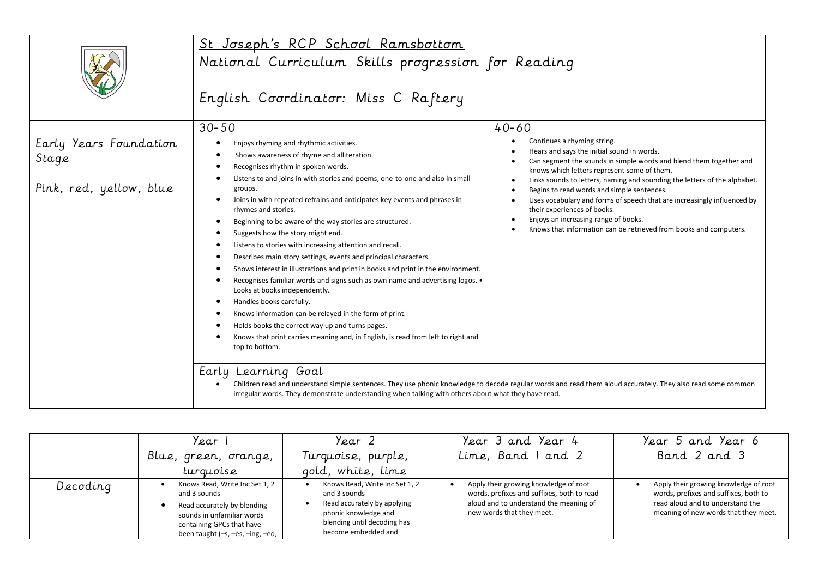|                                                            | St Joseph's RCP School Ramsbottom                                                                                                                                                                                                                                                                                                                                                                                                                                                                                                                                                                                                                                                                                                                                                                                                                                                                                                                                                                                                                                                                                       |                                                                                                                                                                                                                                                                                                                                                                                                                                                                                                                                                                            |  |  |  |  |
|------------------------------------------------------------|-------------------------------------------------------------------------------------------------------------------------------------------------------------------------------------------------------------------------------------------------------------------------------------------------------------------------------------------------------------------------------------------------------------------------------------------------------------------------------------------------------------------------------------------------------------------------------------------------------------------------------------------------------------------------------------------------------------------------------------------------------------------------------------------------------------------------------------------------------------------------------------------------------------------------------------------------------------------------------------------------------------------------------------------------------------------------------------------------------------------------|----------------------------------------------------------------------------------------------------------------------------------------------------------------------------------------------------------------------------------------------------------------------------------------------------------------------------------------------------------------------------------------------------------------------------------------------------------------------------------------------------------------------------------------------------------------------------|--|--|--|--|
|                                                            | National Curriculum Skills progression for Reading                                                                                                                                                                                                                                                                                                                                                                                                                                                                                                                                                                                                                                                                                                                                                                                                                                                                                                                                                                                                                                                                      |                                                                                                                                                                                                                                                                                                                                                                                                                                                                                                                                                                            |  |  |  |  |
|                                                            | English Coordinator: Miss C Raftery                                                                                                                                                                                                                                                                                                                                                                                                                                                                                                                                                                                                                                                                                                                                                                                                                                                                                                                                                                                                                                                                                     |                                                                                                                                                                                                                                                                                                                                                                                                                                                                                                                                                                            |  |  |  |  |
|                                                            | $30 - 50$                                                                                                                                                                                                                                                                                                                                                                                                                                                                                                                                                                                                                                                                                                                                                                                                                                                                                                                                                                                                                                                                                                               | $40 - 60$                                                                                                                                                                                                                                                                                                                                                                                                                                                                                                                                                                  |  |  |  |  |
| Early Years Foundation<br>Stage<br>Pink, red, yellow, blue | Enjoys rhyming and rhythmic activities.<br>$\bullet$<br>Shows awareness of rhyme and alliteration.<br>$\bullet$<br>Recognises rhythm in spoken words.<br>$\bullet$<br>Listens to and joins in with stories and poems, one-to-one and also in small<br>groups.<br>Joins in with repeated refrains and anticipates key events and phrases in<br>$\bullet$<br>rhymes and stories.<br>Beginning to be aware of the way stories are structured.<br>$\bullet$<br>Suggests how the story might end.<br>Listens to stories with increasing attention and recall.<br>$\bullet$<br>Describes main story settings, events and principal characters.<br>$\bullet$<br>Shows interest in illustrations and print in books and print in the environment.<br>Recognises familiar words and signs such as own name and advertising logos. •<br>Looks at books independently.<br>Handles books carefully.<br>$\bullet$<br>Knows information can be relayed in the form of print.<br>Holds books the correct way up and turns pages.<br>Knows that print carries meaning and, in English, is read from left to right and<br>top to bottom. | Continues a rhyming string.<br>Hears and says the initial sound in words.<br>Can segment the sounds in simple words and blend them together and<br>$\bullet$<br>knows which letters represent some of them.<br>Links sounds to letters, naming and sounding the letters of the alphabet.<br>Begins to read words and simple sentences.<br>Uses vocabulary and forms of speech that are increasingly influenced by<br>$\bullet$<br>their experiences of books.<br>Enjoys an increasing range of books.<br>Knows that information can be retrieved from books and computers. |  |  |  |  |
|                                                            | Early Learning Goal                                                                                                                                                                                                                                                                                                                                                                                                                                                                                                                                                                                                                                                                                                                                                                                                                                                                                                                                                                                                                                                                                                     |                                                                                                                                                                                                                                                                                                                                                                                                                                                                                                                                                                            |  |  |  |  |
|                                                            | irregular words. They demonstrate understanding when talking with others about what they have read.                                                                                                                                                                                                                                                                                                                                                                                                                                                                                                                                                                                                                                                                                                                                                                                                                                                                                                                                                                                                                     | Children read and understand simple sentences. They use phonic knowledge to decode regular words and read them aloud accurately. They also read some common                                                                                                                                                                                                                                                                                                                                                                                                                |  |  |  |  |

|          | Year                                                                                                                                                                         | Year 2                                                                                                                                                      | Year 3 and Year 4                                                                                                                                          | Year 5 and Year 6                                                                                                                                          |
|----------|------------------------------------------------------------------------------------------------------------------------------------------------------------------------------|-------------------------------------------------------------------------------------------------------------------------------------------------------------|------------------------------------------------------------------------------------------------------------------------------------------------------------|------------------------------------------------------------------------------------------------------------------------------------------------------------|
|          | Blue, green, orange,                                                                                                                                                         | Turquoise, purple,                                                                                                                                          | Lime, Band I and 2                                                                                                                                         | Band 2 and 3                                                                                                                                               |
|          | turguoise                                                                                                                                                                    | gold, white, lime                                                                                                                                           |                                                                                                                                                            |                                                                                                                                                            |
| Decoding | Knows Read, Write Inc Set 1, 2<br>and 3 sounds<br>Read accurately by blending<br>sounds in unfamiliar words<br>containing GPCs that have<br>been taught (-s, -es, -ing, -ed, | Knows Read, Write Inc Set 1, 2<br>and 3 sounds<br>Read accurately by applying<br>phonic knowledge and<br>blending until decoding has<br>become embedded and | Apply their growing knowledge of root<br>words, prefixes and suffixes, both to read<br>aloud and to understand the meaning of<br>new words that they meet. | Apply their growing knowledge of root<br>words, prefixes and suffixes, both to<br>read aloud and to understand the<br>meaning of new words that they meet. |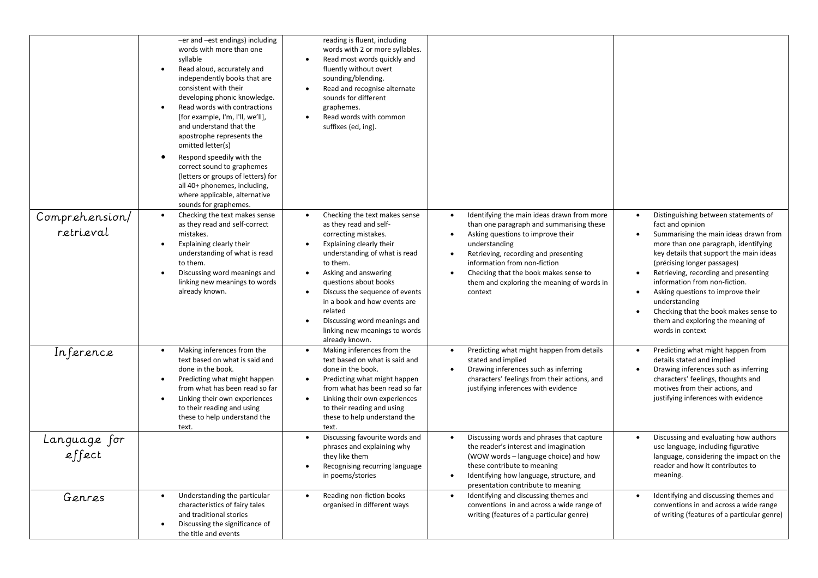|                             | -er and -est endings) including<br>words with more than one<br>syllable<br>Read aloud, accurately and<br>independently books that are<br>consistent with their<br>developing phonic knowledge.<br>Read words with contractions<br>[for example, I'm, I'll, we'll],<br>and understand that the<br>apostrophe represents the<br>omitted letter(s)<br>Respond speedily with the<br>correct sound to graphemes<br>(letters or groups of letters) for<br>all 40+ phonemes, including,<br>where applicable, alternative<br>sounds for graphemes. | reading is fluent, including<br>words with 2 or more syllables.<br>Read most words quickly and<br>fluently without overt<br>sounding/blending.<br>Read and recognise alternate<br>sounds for different<br>graphemes.<br>Read words with common<br>suffixes (ed, ing).                                                                                                                               |                                                                                                                                                                                                                                                                                                                                     |                                                                                                                                                                                                                                                                                                                                                                                                                                                                                                          |
|-----------------------------|--------------------------------------------------------------------------------------------------------------------------------------------------------------------------------------------------------------------------------------------------------------------------------------------------------------------------------------------------------------------------------------------------------------------------------------------------------------------------------------------------------------------------------------------|-----------------------------------------------------------------------------------------------------------------------------------------------------------------------------------------------------------------------------------------------------------------------------------------------------------------------------------------------------------------------------------------------------|-------------------------------------------------------------------------------------------------------------------------------------------------------------------------------------------------------------------------------------------------------------------------------------------------------------------------------------|----------------------------------------------------------------------------------------------------------------------------------------------------------------------------------------------------------------------------------------------------------------------------------------------------------------------------------------------------------------------------------------------------------------------------------------------------------------------------------------------------------|
| Comprehension/<br>retrieval | Checking the text makes sense<br>as they read and self-correct<br>mistakes.<br>Explaining clearly their<br>understanding of what is read<br>to them.<br>Discussing word meanings and<br>linking new meanings to words<br>already known.                                                                                                                                                                                                                                                                                                    | Checking the text makes sense<br>as they read and self-<br>correcting mistakes.<br>Explaining clearly their<br>understanding of what is read<br>to them.<br>Asking and answering<br>$\bullet$<br>questions about books<br>Discuss the sequence of events<br>$\bullet$<br>in a book and how events are<br>related<br>Discussing word meanings and<br>linking new meanings to words<br>already known. | Identifying the main ideas drawn from more<br>than one paragraph and summarising these<br>Asking questions to improve their<br>$\bullet$<br>understanding<br>Retrieving, recording and presenting<br>information from non-fiction<br>Checking that the book makes sense to<br>them and exploring the meaning of words in<br>context | Distinguishing between statements of<br>fact and opinion<br>Summarising the main ideas drawn from<br>$\bullet$<br>more than one paragraph, identifying<br>key details that support the main ideas<br>(précising longer passages)<br>Retrieving, recording and presenting<br>$\bullet$<br>information from non-fiction.<br>Asking questions to improve their<br>$\bullet$<br>understanding<br>Checking that the book makes sense to<br>$\bullet$<br>them and exploring the meaning of<br>words in context |
| Inference                   | Making inferences from the<br>text based on what is said and<br>done in the book.<br>Predicting what might happen<br>$\bullet$<br>from what has been read so far<br>Linking their own experiences<br>to their reading and using<br>these to help understand the<br>text.                                                                                                                                                                                                                                                                   | Making inferences from the<br>text based on what is said and<br>done in the book.<br>Predicting what might happen<br>$\bullet$<br>from what has been read so far<br>Linking their own experiences<br>to their reading and using<br>these to help understand the<br>text.                                                                                                                            | Predicting what might happen from details<br>stated and implied<br>Drawing inferences such as inferring<br>characters' feelings from their actions, and<br>justifying inferences with evidence                                                                                                                                      | Predicting what might happen from<br>$\bullet$<br>details stated and implied<br>Drawing inferences such as inferring<br>characters' feelings, thoughts and<br>motives from their actions, and<br>justifying inferences with evidence                                                                                                                                                                                                                                                                     |
| Language for<br>effect      |                                                                                                                                                                                                                                                                                                                                                                                                                                                                                                                                            | Discussing favourite words and<br>phrases and explaining why<br>they like them<br>Recognising recurring language<br>in poems/stories                                                                                                                                                                                                                                                                | Discussing words and phrases that capture<br>the reader's interest and imagination<br>(WOW words – language choice) and how<br>these contribute to meaning<br>Identifying how language, structure, and<br>presentation contribute to meaning                                                                                        | Discussing and evaluating how authors<br>$\bullet$<br>use language, including figurative<br>language, considering the impact on the<br>reader and how it contributes to<br>meaning.                                                                                                                                                                                                                                                                                                                      |
| Genres                      | Understanding the particular<br>$\bullet$<br>characteristics of fairy tales<br>and traditional stories<br>Discussing the significance of<br>the title and events                                                                                                                                                                                                                                                                                                                                                                           | Reading non-fiction books<br>$\bullet$<br>organised in different ways                                                                                                                                                                                                                                                                                                                               | Identifying and discussing themes and<br>$\bullet$<br>conventions in and across a wide range of<br>writing (features of a particular genre)                                                                                                                                                                                         | Identifying and discussing themes and<br>$\bullet$<br>conventions in and across a wide range<br>of writing (features of a particular genre)                                                                                                                                                                                                                                                                                                                                                              |